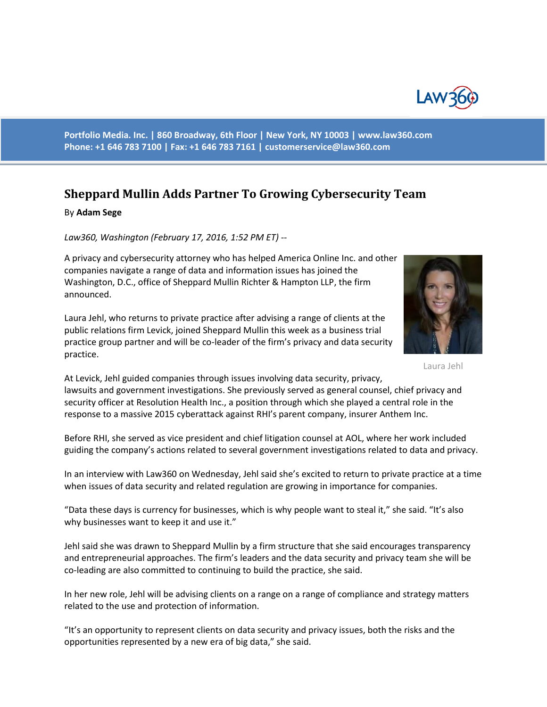

**Portfolio Media. Inc. | 860 Broadway, 6th Floor | New York, NY 10003 | www.law360.com Phone: +1 646 783 7100 | Fax: +1 646 783 7161 | [customerservice@law360.com](mailto:customerservice@law360.com)**

## **Sheppard Mullin Adds Partner To Growing Cybersecurity Team**

## By **Adam Sege**

*Law360, Washington (February 17, 2016, 1:52 PM ET) --*

A privacy and cybersecurity attorney who has helped America Online Inc. and other companies navigate a range of data and information issues has joined the Washington, D.C., office of Sheppard Mullin Richter & Hampton LLP, the firm announced.

Laura Jehl, who returns to private practice after advising a range of clients at the public relations firm Levick, joined Sheppard Mullin this week as a business trial practice group partner and will be co-leader of the firm's privacy and data security practice.



Laura Jehl

At Levick, Jehl guided companies through issues involving data security, privacy, lawsuits and government investigations. She previously served as general counsel, chief privacy and security officer at Resolution Health Inc., a position through which she played a central role in the response to a massive 2015 cyberattack against RHI's parent company, insurer Anthem Inc.

Before RHI, she served as vice president and chief litigation counsel at AOL, where her work included guiding the company's actions related to several government investigations related to data and privacy.

In an interview with Law360 on Wednesday, Jehl said she's excited to return to private practice at a time when issues of data security and related regulation are growing in importance for companies.

"Data these days is currency for businesses, which is why people want to steal it," she said. "It's also why businesses want to keep it and use it."

Jehl said she was drawn to Sheppard Mullin by a firm structure that she said encourages transparency and entrepreneurial approaches. The firm's leaders and the data security and privacy team she will be co-leading are also committed to continuing to build the practice, she said.

In her new role, Jehl will be advising clients on a range on a range of compliance and strategy matters related to the use and protection of information.

"It's an opportunity to represent clients on data security and privacy issues, both the risks and the opportunities represented by a new era of big data," she said.